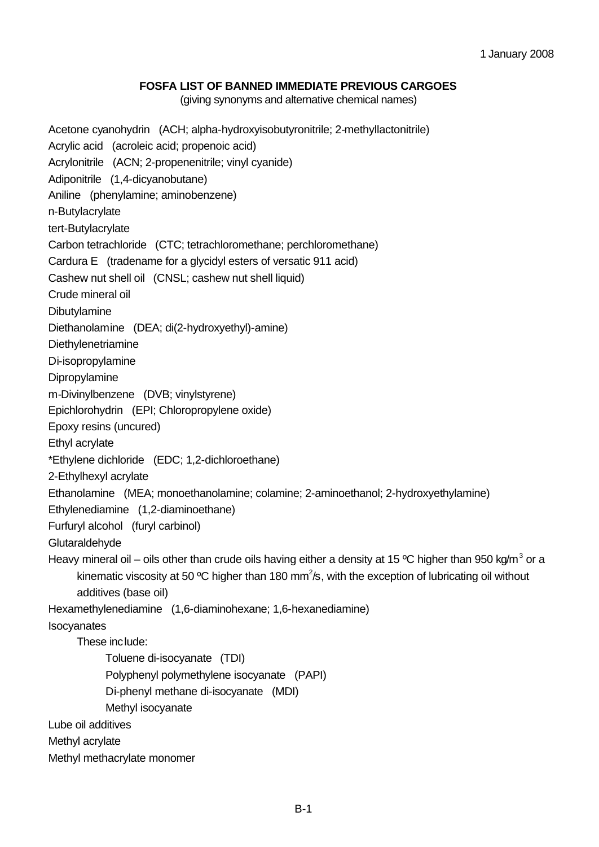## **FOSFA LIST OF BANNED IMMEDIATE PREVIOUS CARGOES**

(giving synonyms and alternative chemical names)

Acetone cyanohydrin (ACH; alpha-hydroxyisobutyronitrile; 2-methyllactonitrile) Acrylic acid (acroleic acid; propenoic acid) Acrylonitrile (ACN; 2-propenenitrile; vinyl cyanide) Adiponitrile (1,4-dicyanobutane) Aniline (phenylamine; aminobenzene) n-Butylacrylate tert-Butylacrylate Carbon tetrachloride (CTC; tetrachloromethane; perchloromethane) Cardura E (tradename for a glycidyl esters of versatic 911 acid) Cashew nut shell oil (CNSL; cashew nut shell liquid) Crude mineral oil Dibutylamine Diethanolamine (DEA; di(2-hydroxyethyl)-amine) Diethylenetriamine Di-isopropylamine Dipropylamine m-Divinylbenzene (DVB; vinylstyrene) Epichlorohydrin (EPI; Chloropropylene oxide) Epoxy resins (uncured) Ethyl acrylate \*Ethylene dichloride (EDC; 1,2-dichloroethane) 2-Ethylhexyl acrylate Ethanolamine (MEA; monoethanolamine; colamine; 2-aminoethanol; 2-hydroxyethylamine) Ethylenediamine (1,2-diaminoethane) Furfuryl alcohol (furyl carbinol) **Glutaraldehyde** Heavy mineral oil – oils other than crude oils having either a density at 15 °C higher than 950 kg/m<sup>3</sup> or a kinematic viscosity at 50 °C higher than 180 mm<sup>2</sup>/s, with the exception of lubricating oil without additives (base oil) Hexamethylenediamine (1,6-diaminohexane; 1,6-hexanediamine) Isocyanates These include: Toluene di-isocyanate (TDI) Polyphenyl polymethylene isocyanate (PAPI) Di-phenyl methane di-isocyanate (MDI) Methyl isocyanate Lube oil additives Methyl acrylate Methyl methacrylate monomer